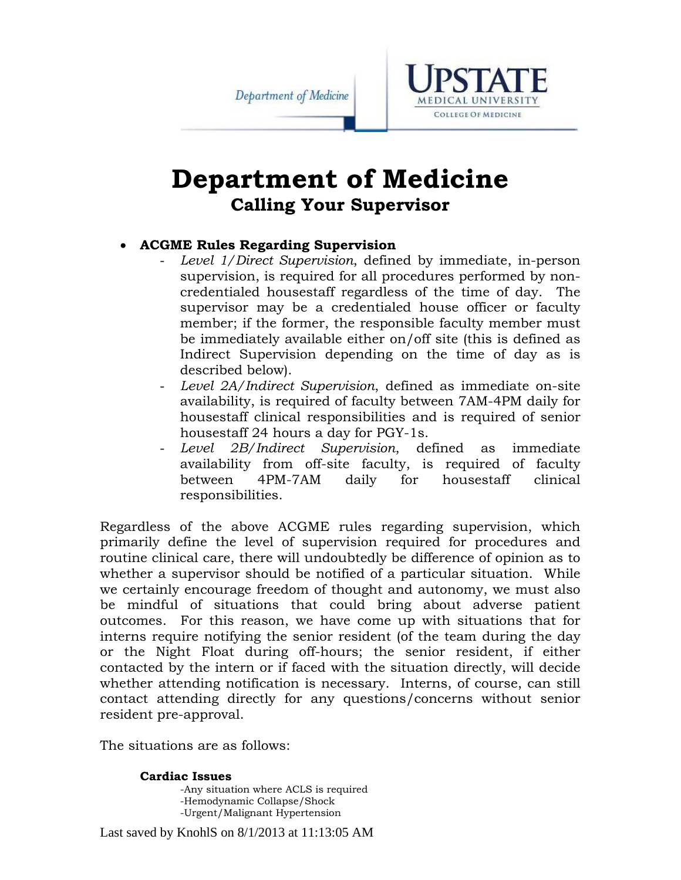Department of Medicine



# **Department of Medicine Calling Your Supervisor**

# **ACGME Rules Regarding Supervision**

- *Level 1/Direct Supervision*, defined by immediate, in-person supervision, is required for all procedures performed by noncredentialed housestaff regardless of the time of day. The supervisor may be a credentialed house officer or faculty member; if the former, the responsible faculty member must be immediately available either on/off site (this is defined as Indirect Supervision depending on the time of day as is described below).
- *Level 2A/Indirect Supervision*, defined as immediate on-site availability, is required of faculty between 7AM-4PM daily for housestaff clinical responsibilities and is required of senior housestaff 24 hours a day for PGY-1s.
- *Level 2B/Indirect Supervision*, defined as immediate availability from off-site faculty, is required of faculty between 4PM-7AM daily for housestaff clinical responsibilities.

Regardless of the above ACGME rules regarding supervision, which primarily define the level of supervision required for procedures and routine clinical care, there will undoubtedly be difference of opinion as to whether a supervisor should be notified of a particular situation. While we certainly encourage freedom of thought and autonomy, we must also be mindful of situations that could bring about adverse patient outcomes. For this reason, we have come up with situations that for interns require notifying the senior resident (of the team during the day or the Night Float during off-hours; the senior resident, if either contacted by the intern or if faced with the situation directly, will decide whether attending notification is necessary. Interns, of course, can still contact attending directly for any questions/concerns without senior resident pre-approval.

The situations are as follows:

# **Cardiac Issues**

 -Any situation where ACLS is required -Hemodynamic Collapse/Shock -Urgent/Malignant Hypertension

Last saved by KnohlS on 8/1/2013 at 11:13:05 AM